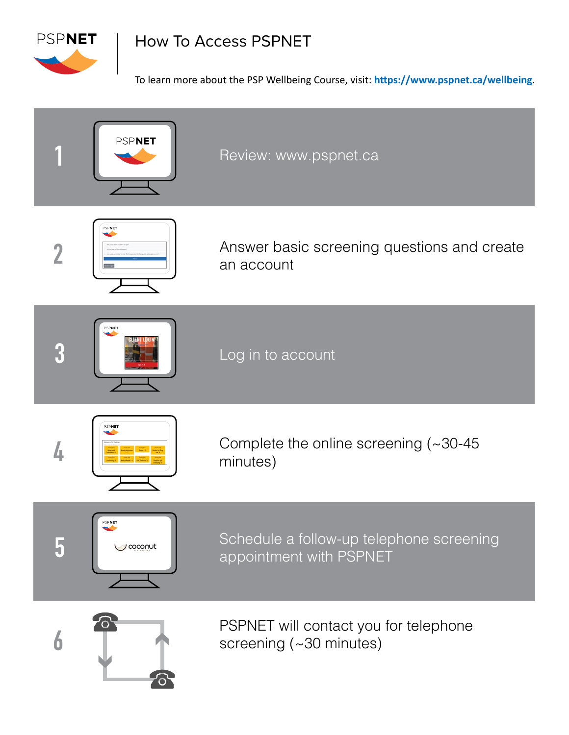

# How To Access PSPNET

To learn more about the PSP Wellbeing Course, visit: **https://www.pspnet.ca/wellbeing**.

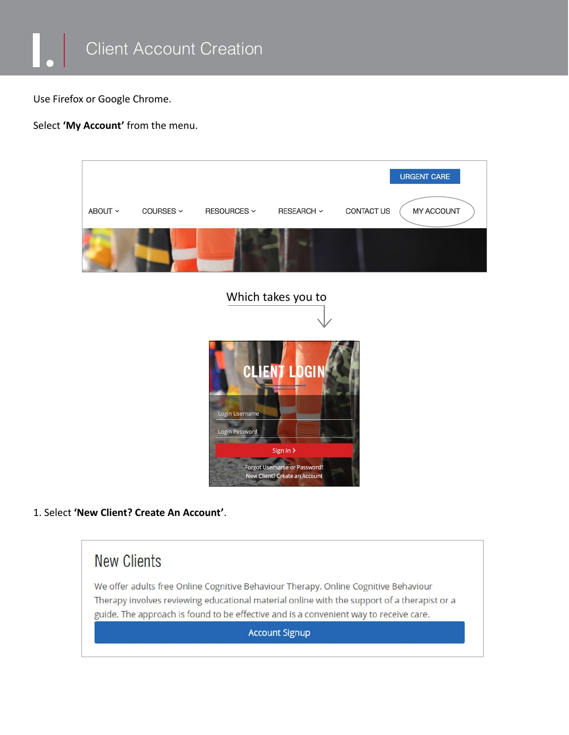

Use Firefox or Google Chrome.

Select **'My Account'** from the menu.



### 1. Select **'New Client? Create An Account'**.



We offer adults free Online Cognitive Behaviour Therapy. Online Cognitive Behaviour Therapy involves reviewing educational material online with the support of a therapist or a guide. The approach is found to be effective and is a convenient way to receive care.

**Account Signup**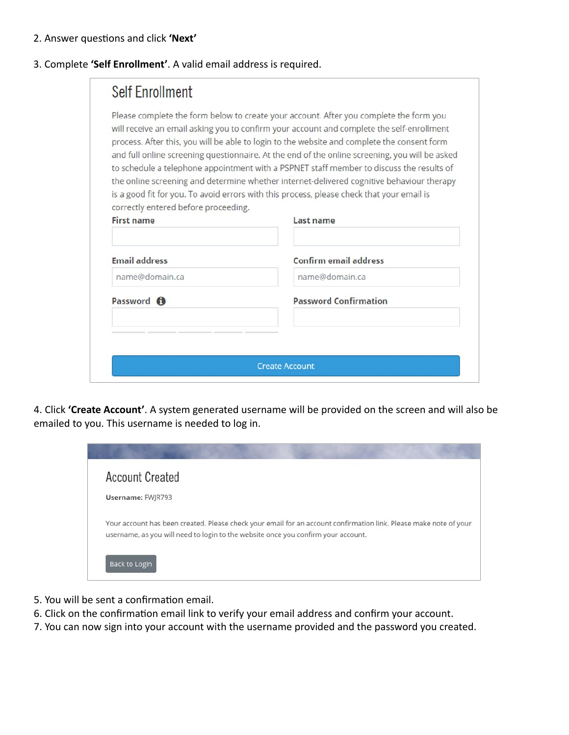#### 2. Answer questions and click **'Next'**

#### 3. Complete **'Self Enrollment'**. A valid email address is required.

| correctly entered before proceeding. | Please complete the form below to create your account. After you complete the form you<br>will receive an email asking you to confirm your account and complete the self-enrollment<br>process. After this, you will be able to login to the website and complete the consent form<br>and full online screening questionnaire. At the end of the online screening, you will be asked<br>to schedule a telephone appointment with a PSPNET staff member to discuss the results of<br>the online screening and determine whether internet-delivered cognitive behaviour therapy<br>is a good fit for you. To avoid errors with this process, please check that your email is |
|--------------------------------------|----------------------------------------------------------------------------------------------------------------------------------------------------------------------------------------------------------------------------------------------------------------------------------------------------------------------------------------------------------------------------------------------------------------------------------------------------------------------------------------------------------------------------------------------------------------------------------------------------------------------------------------------------------------------------|
| <b>First name</b>                    | Last name                                                                                                                                                                                                                                                                                                                                                                                                                                                                                                                                                                                                                                                                  |
| <b>Email address</b>                 | Confirm email address                                                                                                                                                                                                                                                                                                                                                                                                                                                                                                                                                                                                                                                      |
| name@domain.ca                       | name@domain.ca                                                                                                                                                                                                                                                                                                                                                                                                                                                                                                                                                                                                                                                             |
| Password <b>O</b>                    | <b>Password Confirmation</b>                                                                                                                                                                                                                                                                                                                                                                                                                                                                                                                                                                                                                                               |
|                                      |                                                                                                                                                                                                                                                                                                                                                                                                                                                                                                                                                                                                                                                                            |
|                                      |                                                                                                                                                                                                                                                                                                                                                                                                                                                                                                                                                                                                                                                                            |
|                                      | <b>Create Account</b>                                                                                                                                                                                                                                                                                                                                                                                                                                                                                                                                                                                                                                                      |

4. Click **'Create Account'**. A system generated username will be provided on the screen and will also be emailed to you. This username is needed to log in.



- 5. You will be sent a confirmation email.
- 6. Click on the confirmation email link to verify your email address and confirm your account.
- 7. You can now sign into your account with the username provided and the password you created.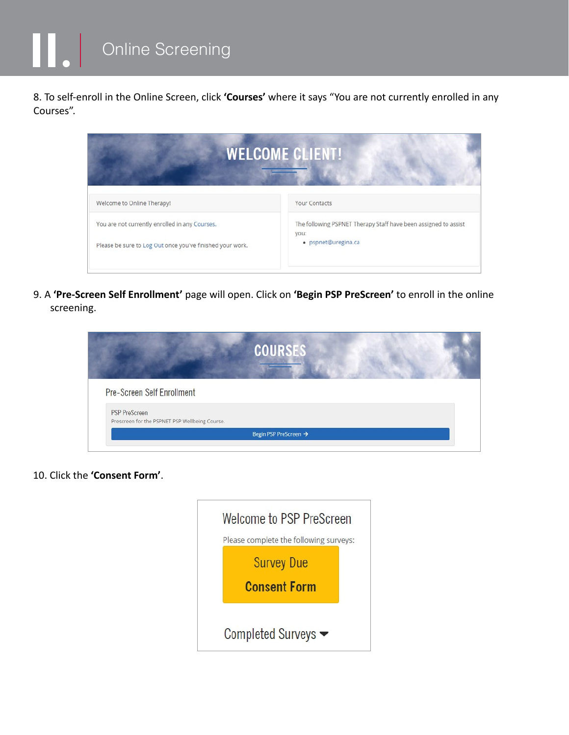Online Screening

8. To self-enroll in the Online Screen, click **'Courses'** where it says "You are not currently enrolled in any Courses".



9. A **'Pre-Screen Self Enrollment'** page will open. Click on **'Begin PSP PreScreen'** to enroll in the online screening.

|                                                                        | <b>COURSES</b>        |  |
|------------------------------------------------------------------------|-----------------------|--|
| Pre-Screen Self Enrollment                                             |                       |  |
| <b>PSP PreScreen</b><br>Prescreen for the PSPNET PSP Wellbeing Course. |                       |  |
|                                                                        | Begin PSP PreScreen → |  |

10. Click the **'Consent Form'**.

| Welcome to PSP PreScreen               |  |
|----------------------------------------|--|
| Please complete the following surveys: |  |
| <b>Survey Due</b>                      |  |
| <b>Consent Form</b>                    |  |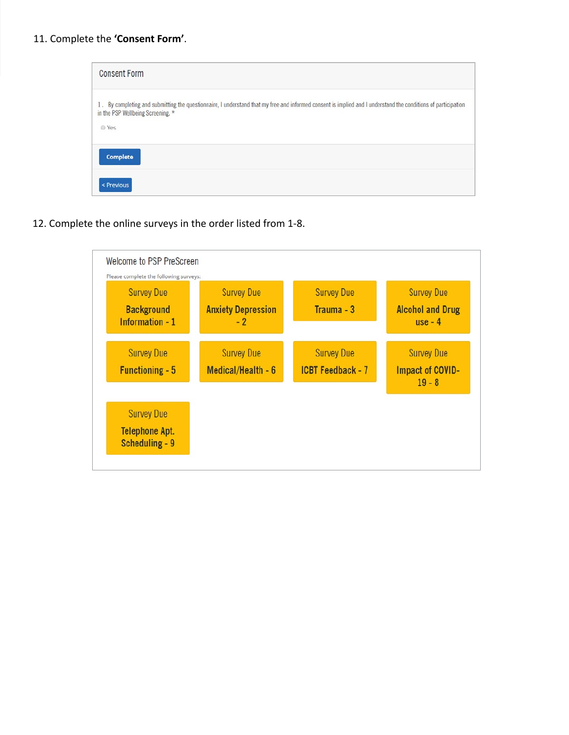| 1. By completing and submitting the questionnaire, I understand that my free and informed consent is implied and I understand the conditions of participation<br>in the PSP Wellbeing Screening. * |  |
|----------------------------------------------------------------------------------------------------------------------------------------------------------------------------------------------------|--|
| @ Yes                                                                                                                                                                                              |  |

12. Complete the online surveys in the order listed from 1-8.

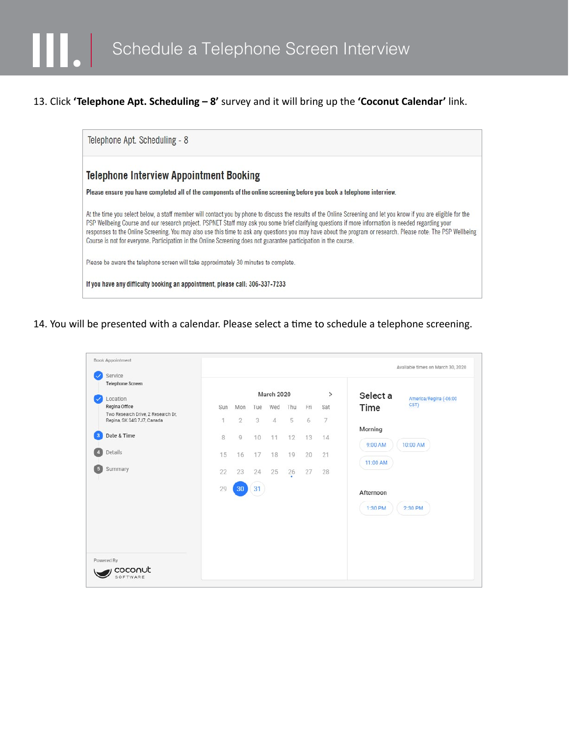## 13. Click **'Telephone Apt. Scheduling – 8'** survey and it will bring up the **'Coconut Calendar'** link.



14. You will be presented with a calendar. Please select a time to schedule a telephone screening.

| Service                                                          |     |              |            |            |         |     |               |           |                        |
|------------------------------------------------------------------|-----|--------------|------------|------------|---------|-----|---------------|-----------|------------------------|
| Telephone Screen                                                 |     |              |            |            |         |     |               |           |                        |
| Location                                                         |     |              |            | March 2020 |         |     | $\rightarrow$ | Select a  | America/Regina (-06:00 |
| Regina Office                                                    | Sun | Mon          | Tue        | Wed        | Thu     | Fri | Sat           | Time      | CST)                   |
| Two Research Drive, 2 Research Dr.<br>Regina, SK S4S 7J7, Canada | 1   | $\mathbf{2}$ | $\sqrt{3}$ | 4          | 5       | 6   | 7             |           |                        |
|                                                                  |     |              |            |            |         |     |               | Morning   |                        |
| Date & Time                                                      | 8   | $\circ$      | 10         | 11         | 12      | 13  | 14            | 9:00 AM   | 10:00 AM               |
| Details                                                          | 15  | 16           | 17         | 18         | 19      | 20  | 21            |           |                        |
| Summary                                                          | 22  | 23           | 24         | 25         | 26<br>× | 27  | 28            | 11:00 AM  |                        |
|                                                                  | 29  | 30           | 31         |            |         |     |               | Afternoon |                        |
|                                                                  |     |              |            |            |         |     |               | 1:30 PM   | 2:30 PM                |
|                                                                  |     |              |            |            |         |     |               |           |                        |
|                                                                  |     |              |            |            |         |     |               |           |                        |
|                                                                  |     |              |            |            |         |     |               |           |                        |
| Powered By                                                       |     |              |            |            |         |     |               |           |                        |
| coconut                                                          |     |              |            |            |         |     |               |           |                        |